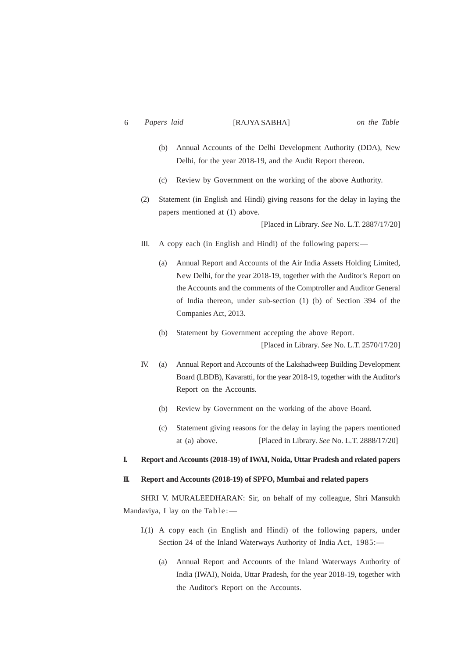- (b) Annual Accounts of the Delhi Development Authority (DDA), New Delhi, for the year 2018-19, and the Audit Report thereon.
- (c) Review by Government on the working of the above Authority.
- (2) Statement (in English and Hindi) giving reasons for the delay in laying the papers mentioned at (1) above.

[Placed in Library. *See* No. L.T. 2887/17/20]

- III. A copy each (in English and Hindi) of the following papers:—
	- (a) Annual Report and Accounts of the Air India Assets Holding Limited, New Delhi, for the year 2018-19, together with the Auditor's Report on the Accounts and the comments of the Comptroller and Auditor General of India thereon, under sub-section (1) (b) of Section 394 of the Companies Act, 2013.
	- (b) Statement by Government accepting the above Report. [Placed in Library. *See* No. L.T. 2570/17/20]
- IV. (a) Annual Report and Accounts of the Lakshadweep Building Development Board (LBDB), Kavaratti, for the year 2018-19, together with the Auditor's Report on the Accounts.
	- (b) Review by Government on the working of the above Board.
	- (c) Statement giving reasons for the delay in laying the papers mentioned at (a) above. [Placed in Library. *See* No. L.T. 2888/17/20]

## **I. Report and Accounts (2018-19) of IWAI, Noida, Uttar Pradesh and related papers**

## **II. Report and Accounts (2018-19) of SPFO, Mumbai and related papers**

SHRI V. MURALEEDHARAN: Sir, on behalf of my colleague, Shri Mansukh Mandaviya, I lay on the Table:—

- I.(1) A copy each (in English and Hindi) of the following papers, under Section 24 of the Inland Waterways Authority of India Act, 1985:—
	- (a) Annual Report and Accounts of the Inland Waterways Authority of India (IWAI), Noida, Uttar Pradesh, for the year 2018-19, together with the Auditor's Report on the Accounts.